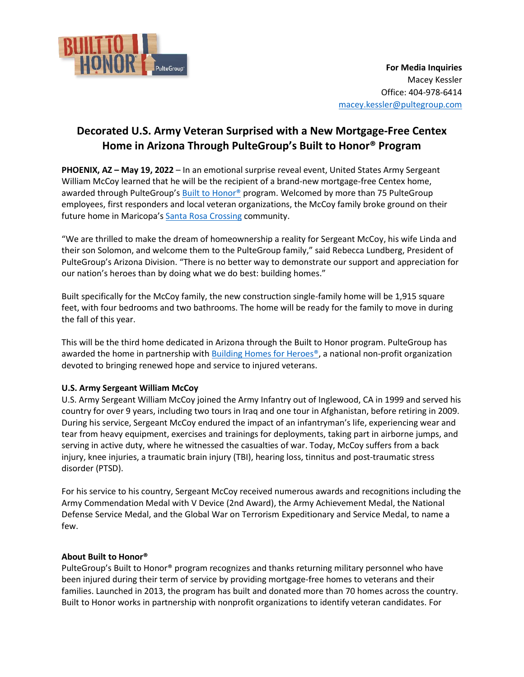

## **Decorated U.S. Army Veteran Surprised with a New Mortgage-Free Centex Home in Arizona Through PulteGroup's Built to Honor® Program**

**PHOENIX, AZ – May 19, 2022** – In an emotional surprise reveal event, United States Army Sergeant William McCoy learned that he will be the recipient of a brand-new mortgage-free Centex home, awarded through PulteGroup's [Built to Honor®](http://builttohonor.org/) program. Welcomed by more than 75 PulteGroup employees, first responders and local veteran organizations, the McCoy family broke ground on their future home in Maricopa's [Santa Rosa](https://www.centex.com/homes/arizona/phoenix/maricopa/santa-rosa-crossing-210570) Crossing community.

"We are thrilled to make the dream of homeownership a reality for Sergeant McCoy, his wife Linda and their son Solomon, and welcome them to the PulteGroup family," said Rebecca Lundberg, President of PulteGroup's Arizona Division. "There is no better way to demonstrate our support and appreciation for our nation's heroes than by doing what we do best: building homes."

Built specifically for the McCoy family, the new construction single-family home will be 1,915 square feet, with four bedrooms and two bathrooms. The home will be ready for the family to move in during the fall of this year.

This will be the third home dedicated in Arizona through the Built to Honor program. PulteGroup has awarded the home in partnership with [Building Homes for Heroes®,](https://www.buildinghomesforheroes.org/) a national non-profit organization devoted to bringing renewed hope and service to injured veterans.

## **U.S. Army Sergeant William McCoy**

U.S. Army Sergeant William McCoy joined the Army Infantry out of Inglewood, CA in 1999 and served his country for over 9 years, including two tours in Iraq and one tour in Afghanistan, before retiring in 2009. During his service, Sergeant McCoy endured the impact of an infantryman's life, experiencing wear and tear from heavy equipment, exercises and trainings for deployments, taking part in airborne jumps, and serving in active duty, where he witnessed the casualties of war. Today, McCoy suffers from a back injury, knee injuries, a traumatic brain injury (TBI), hearing loss, tinnitus and post-traumatic stress disorder (PTSD).

For his service to his country, Sergeant McCoy received numerous awards and recognitions including the Army Commendation Medal with V Device (2nd Award), the Army Achievement Medal, the National Defense Service Medal, and the Global War on Terrorism Expeditionary and Service Medal, to name a few.

## **About Built to Honor®**

PulteGroup's Built to Honor® program recognizes and thanks returning military personnel who have been injured during their term of service by providing mortgage-free homes to veterans and their families. Launched in 2013, the program has built and donated more than 70 homes across the country. Built to Honor works in partnership with nonprofit organizations to identify veteran candidates. For